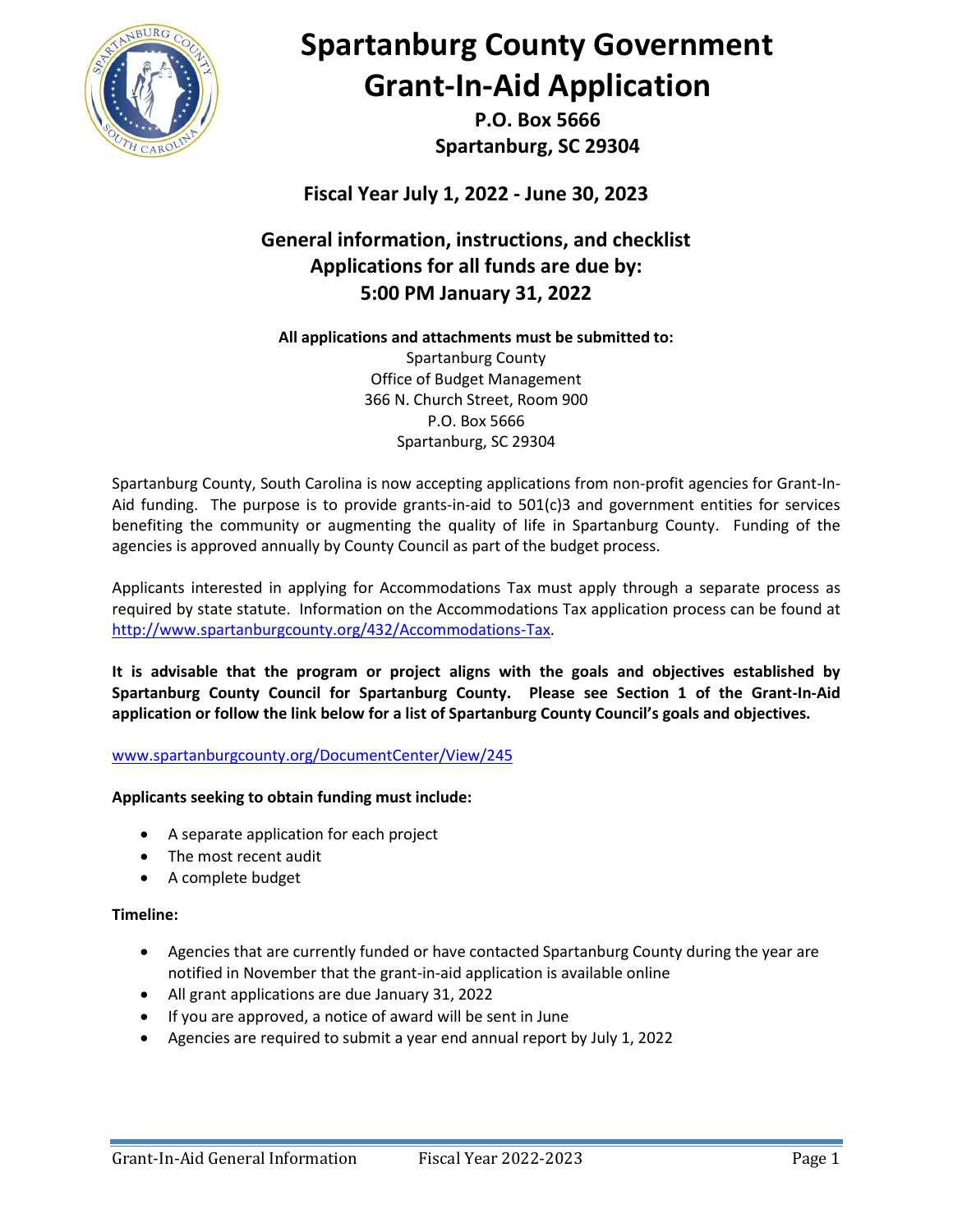

# **Spartanburg County Government Grant-In-Aid Application**

**P.O. Box 5666 Spartanburg, SC 29304**

**Fiscal Year July 1, 2022 - June 30, 2023**

## **General information, instructions, and checklist Applications for all funds are due by: 5:00 PM January 31, 2022**

### **All applications and attachments must be submitted to:**

Spartanburg County Office of Budget Management 366 N. Church Street, Room 900 P.O. Box 5666 Spartanburg, SC 29304

Spartanburg County, South Carolina is now accepting applications from non-profit agencies for Grant-In-Aid funding. The purpose is to provide grants-in-aid to 501(c)3 and government entities for services benefiting the community or augmenting the quality of life in Spartanburg County. Funding of the agencies is approved annually by County Council as part of the budget process.

Applicants interested in applying for Accommodations Tax must apply through a separate process as required by state statute. Information on the Accommodations Tax application process can be found at [http://www.spartanburgcounty.org/432/Accommodations-Tax.](http://www.spartanburgcounty.org/432/Accommodations-Tax)

**It is advisable that the program or project aligns with the goals and objectives established by Spartanburg County Council for Spartanburg County. Please see Section 1 of the Grant-In-Aid application or follow the link below for a list of Spartanburg County Council's goals and objectives.**

### [www.spartanburgcounty.org/DocumentCenter/View/245](http://www.spartanburgcounty.org/DocumentCenter/View/245)

### **Applicants seeking to obtain funding must include:**

- A separate application for each project
- The most recent audit
- A complete budget

#### **Timeline:**

- Agencies that are currently funded or have contacted Spartanburg County during the year are notified in November that the grant-in-aid application is available online
- All grant applications are due January 31, 2022
- If you are approved, a notice of award will be sent in June
- Agencies are required to submit a year end annual report by July 1, 2022